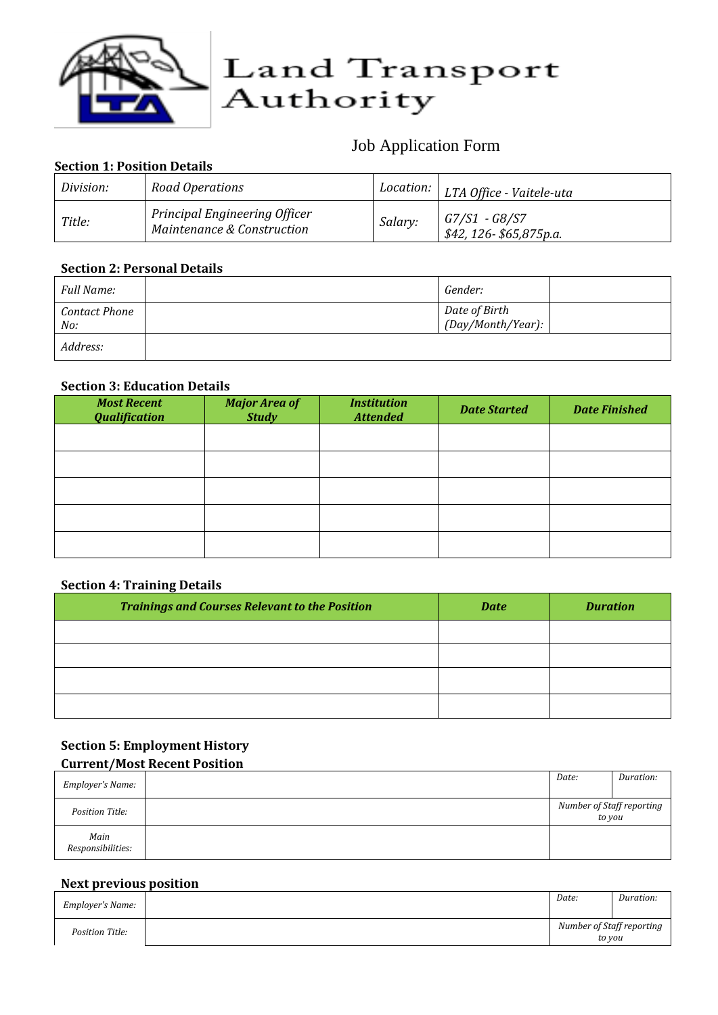

# Job Application Form

# **Section 1: Position Details**

| Division: | Road Operations                                                    |         |                                         |
|-----------|--------------------------------------------------------------------|---------|-----------------------------------------|
| Title:    | <b>Principal Engineering Officer</b><br>Maintenance & Construction | Salary: | G7/S1 - G8/S7<br>\$42, 126-\$65,875p.a. |

### **Section 2: Personal Details**

| Full Name:                  | Gender:                            |  |
|-----------------------------|------------------------------------|--|
| <b>Contact Phone</b><br>No: | Date of Birth<br>(Day/Month/Year): |  |
| Address:                    |                                    |  |

## **Section 3: Education Details**

| <b>Most Recent</b><br><b>Qualification</b> | <b>Major Area of</b><br><b>Study</b> | <b>Institution</b><br><b>Attended</b> | <b>Date Started</b> | <b>Date Finished</b> |
|--------------------------------------------|--------------------------------------|---------------------------------------|---------------------|----------------------|
|                                            |                                      |                                       |                     |                      |
|                                            |                                      |                                       |                     |                      |
|                                            |                                      |                                       |                     |                      |
|                                            |                                      |                                       |                     |                      |
|                                            |                                      |                                       |                     |                      |

#### **Section 4: Training Details**

| <b>Trainings and Courses Relevant to the Position</b> | <b>Date</b> | <b>Duration</b> |
|-------------------------------------------------------|-------------|-----------------|
|                                                       |             |                 |
|                                                       |             |                 |
|                                                       |             |                 |
|                                                       |             |                 |

#### **Section 5: Employment History Current/Most Recent Position**

|                           | Date:                                              | Duration: |
|---------------------------|----------------------------------------------------|-----------|
| Employer's Name:          |                                                    |           |
| Position Title:           | Number of Staff reporting<br>$\overline{t}$ to you |           |
| Main<br>Responsibilities: |                                                    |           |

# **Next previous position**

| Employer's Name: | Date:                               | Duration: |
|------------------|-------------------------------------|-----------|
| Position Title:  | Number of Staff reporting<br>to you |           |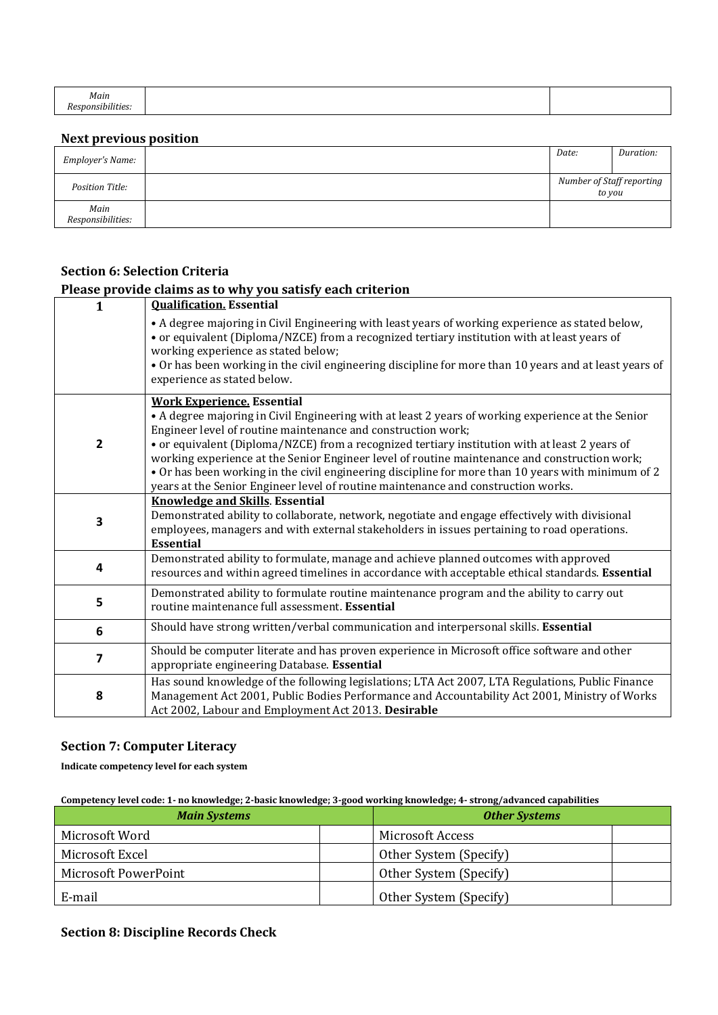| Main                        |  |
|-----------------------------|--|
| $\cdots$<br>snonsibilities. |  |

# **Next previous position**

| Employer's Name:          | Date:                               | Duration: |
|---------------------------|-------------------------------------|-----------|
| Position Title:           | Number of Staff reporting<br>to you |           |
| Main<br>Responsibilities: |                                     |           |

#### **Section 6: Selection Criteria Please provide claims as to why you satisfy each criterion**

|                         | Please provide claims as to why you satisfy each criterion                                                                                                                                                                                                                                                                                                                                                                                                                                                                                                                                            |
|-------------------------|-------------------------------------------------------------------------------------------------------------------------------------------------------------------------------------------------------------------------------------------------------------------------------------------------------------------------------------------------------------------------------------------------------------------------------------------------------------------------------------------------------------------------------------------------------------------------------------------------------|
| 1                       | <b>Qualification. Essential</b>                                                                                                                                                                                                                                                                                                                                                                                                                                                                                                                                                                       |
|                         | • A degree majoring in Civil Engineering with least years of working experience as stated below,<br>• or equivalent (Diploma/NZCE) from a recognized tertiary institution with at least years of<br>working experience as stated below;<br>. Or has been working in the civil engineering discipline for more than 10 years and at least years of<br>experience as stated below.                                                                                                                                                                                                                      |
| $\overline{\mathbf{c}}$ | <b>Work Experience. Essential</b><br>• A degree majoring in Civil Engineering with at least 2 years of working experience at the Senior<br>Engineer level of routine maintenance and construction work;<br>• or equivalent (Diploma/NZCE) from a recognized tertiary institution with at least 2 years of<br>working experience at the Senior Engineer level of routine maintenance and construction work;<br>• Or has been working in the civil engineering discipline for more than 10 years with minimum of 2<br>years at the Senior Engineer level of routine maintenance and construction works. |
| 3                       | <b>Knowledge and Skills. Essential</b><br>Demonstrated ability to collaborate, network, negotiate and engage effectively with divisional<br>employees, managers and with external stakeholders in issues pertaining to road operations.<br><b>Essential</b>                                                                                                                                                                                                                                                                                                                                           |
| 4                       | Demonstrated ability to formulate, manage and achieve planned outcomes with approved<br>resources and within agreed timelines in accordance with acceptable ethical standards. Essential                                                                                                                                                                                                                                                                                                                                                                                                              |
| 5                       | Demonstrated ability to formulate routine maintenance program and the ability to carry out<br>routine maintenance full assessment. Essential                                                                                                                                                                                                                                                                                                                                                                                                                                                          |
| 6                       | Should have strong written/verbal communication and interpersonal skills. Essential                                                                                                                                                                                                                                                                                                                                                                                                                                                                                                                   |
| 7                       | Should be computer literate and has proven experience in Microsoft office software and other<br>appropriate engineering Database. Essential                                                                                                                                                                                                                                                                                                                                                                                                                                                           |
| 8                       | Has sound knowledge of the following legislations; LTA Act 2007, LTA Regulations, Public Finance<br>Management Act 2001, Public Bodies Performance and Accountability Act 2001, Ministry of Works<br>Act 2002, Labour and Employment Act 2013. Desirable                                                                                                                                                                                                                                                                                                                                              |

# **Section 7: Computer Literacy**

**Indicate competency level for each system**

## **Competency level code: 1- no knowledge; 2-basic knowledge; 3-good working knowledge; 4- strong/advanced capabilities**

| <b>Main Systems</b>         |  | <b>Other Systems</b>   |  |
|-----------------------------|--|------------------------|--|
| Microsoft Word              |  | Microsoft Access       |  |
| Microsoft Excel             |  | Other System (Specify) |  |
| <b>Microsoft PowerPoint</b> |  | Other System (Specify) |  |
| E-mail                      |  | Other System (Specify) |  |

# **Section 8: Discipline Records Check**